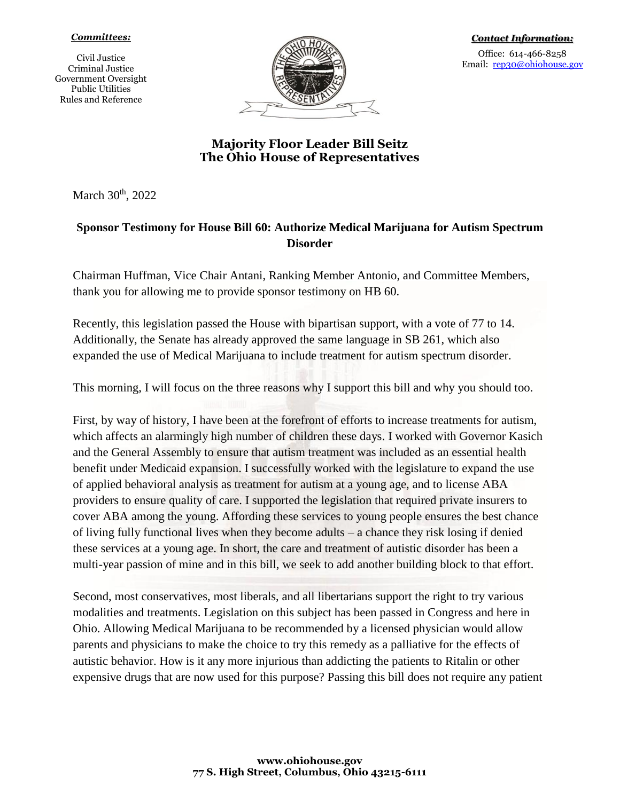## *Committees:*

Civil Justice Criminal Justice Government Oversight Public Utilities Rules and Reference



## **Majority Floor Leader Bill Seitz The Ohio House of Representatives**

March 30<sup>th</sup>, 2022

## **Sponsor Testimony for House Bill 60: Authorize Medical Marijuana for Autism Spectrum Disorder**

Chairman Huffman, Vice Chair Antani, Ranking Member Antonio, and Committee Members, thank you for allowing me to provide sponsor testimony on HB 60.

Recently, this legislation passed the House with bipartisan support, with a vote of 77 to 14. Additionally, the Senate has already approved the same language in SB 261, which also expanded the use of Medical Marijuana to include treatment for autism spectrum disorder.

This morning, I will focus on the three reasons why I support this bill and why you should too.

First, by way of history, I have been at the forefront of efforts to increase treatments for autism, which affects an alarmingly high number of children these days. I worked with Governor Kasich and the General Assembly to ensure that autism treatment was included as an essential health benefit under Medicaid expansion. I successfully worked with the legislature to expand the use of applied behavioral analysis as treatment for autism at a young age, and to license ABA providers to ensure quality of care. I supported the legislation that required private insurers to cover ABA among the young. Affording these services to young people ensures the best chance of living fully functional lives when they become adults – a chance they risk losing if denied these services at a young age. In short, the care and treatment of autistic disorder has been a multi-year passion of mine and in this bill, we seek to add another building block to that effort.

Second, most conservatives, most liberals, and all libertarians support the right to try various modalities and treatments. Legislation on this subject has been passed in Congress and here in Ohio. Allowing Medical Marijuana to be recommended by a licensed physician would allow parents and physicians to make the choice to try this remedy as a palliative for the effects of autistic behavior. How is it any more injurious than addicting the patients to Ritalin or other expensive drugs that are now used for this purpose? Passing this bill does not require any patient